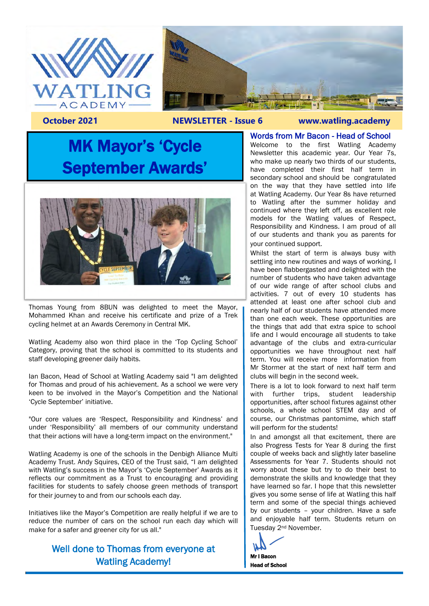



#### **October 2021 NEWSLETTER - Issue 6 www.watling.academy**

# MK Mayor's 'Cycle September Awards'



Thomas Young from 8BUN was delighted to meet the Mayor, Mohammed Khan and receive his certificate and prize of a Trek cycling helmet at an Awards Ceremony in Central MK.

Watling Academy also won third place in the 'Top Cycling School' Category, proving that the school is committed to its students and staff developing greener daily habits.

Ian Bacon, Head of School at Watling Academy said "I am delighted for Thomas and proud of his achievement. As a school we were very keen to be involved in the Mayor's Competition and the National 'Cycle September' initiative.

"Our core values are 'Respect, Responsibility and Kindness' and under 'Responsibility' all members of our community understand that their actions will have a long-term impact on the environment."

Watling Academy is one of the schools in the Denbigh Alliance Multi Academy Trust. Andy Squires, CEO of the Trust said, "I am delighted with Watling's success in the Mayor's 'Cycle September' Awards as it reflects our commitment as a Trust to encouraging and providing facilities for students to safely choose green methods of transport for their journey to and from our schools each day.

Initiatives like the Mayor's Competition are really helpful if we are to reduce the number of cars on the school run each day which will make for a safer and greener city for us all."

### Well done to Thomas from everyone at Watling Academy!

#### Words from Mr Bacon - Head of School

Welcome to the first Watling Academy Newsletter this academic year. Our Year 7s, who make up nearly two thirds of our students, have completed their first half term in secondary school and should be congratulated on the way that they have settled into life at Watling Academy. Our Year 8s have returned to Watling after the summer holiday and continued where they left off, as excellent role models for the Watling values of Respect, Responsibility and Kindness. I am proud of all of our students and thank you as parents for your continued support.

Whilst the start of term is always busy with settling into new routines and ways of working, I have been flabbergasted and delighted with the number of students who have taken advantage of our wide range of after school clubs and activities. 7 out of every 10 students has attended at least one after school club and nearly half of our students have attended more than one each week. These opportunities are the things that add that extra spice to school life and I would encourage all students to take advantage of the clubs and extra-curricular opportunities we have throughout next half term. You will receive more information from Mr Stormer at the start of next half term and clubs will begin in the second week.

There is a lot to look forward to next half term with further trips, student leadership opportunities, after school fixtures against other schools, a whole school STEM day and of course, our Christmas pantomime, which staff will perform for the students!

In and amongst all that excitement, there are also Progress Tests for Year 8 during the first couple of weeks back and slightly later baseline Assessments for Year 7. Students should not worry about these but try to do their best to demonstrate the skills and knowledge that they have learned so far. I hope that this newsletter gives you some sense of life at Watling this half term and some of the special things achieved by our students – your children. Have a safe and enjoyable half term. Students return on Tuesday 2nd November.

Mr I Bacon

Head of School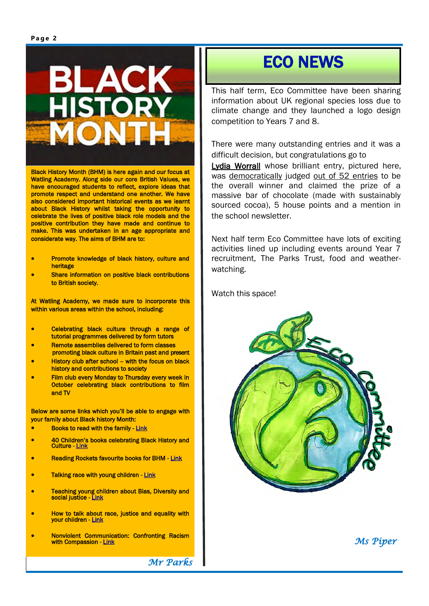

Black History Month (BHM) is here again and our focus at Watling Academy. Along side our core British Values, we have encouraged students to reflect, explore ideas that promote respect and understand one another. We have also considered important historical events as we learnt about Black History whilst taking the opportunity to celebrate the lives of positive black role models and the positive contribution they have made and continue to make. This was undertaken in an age appropriate and considerate way. The aims of BHM are to:

- Promote knowledge of black history, culture and heritage
- Share information on positive black contributions to British society.

At Watling Academy, we made sure to incorporate this within various areas within the school, including:

- Celebrating black culture through a range of tutorial programmes delivered by form tutors
- Remote assemblies delivered to form classes promoting black culture in Britain past and present
- History club after school with the focus on black history and contributions to society
- Film club every Monday to Thursday every week in October celebrating black contributions to film and TV

Below are some links which you'll be able to engage with your family about Black history Month:

- Books to read with the family - [Link](http://theculture.forharriet.com/2014/02/45-books-to-teach-children-about-black.html#axzz55g6irvsy)
- 40 Children's books celebrating Black History and Culture - [Link](https://www.lovereading4kids.co.uk/blog/collections/40-childrens-books-celebrating-black-history-culture-6211)
- Reading Rockets favourite books for BHM [Link](https://www.readingrockets.org/booklists/favorite-books-black-history-month)
- Talking race with young children Link
- Teaching young children about Bias, Diversity and social justice - [Link](https://www.edutopia.org/blog/teaching-young-children-social-justice-jinnie-spiegler)
- How to talk about race, justice and equality with your children - [Link](https://www.timeout.com/new-york-kids/news/how-to-talk-about-race-justice-and-equality-with-your-children-060220)
- Nonviolent Communication: Confronting Racism with Compassion - [Link](https://www.nonviolentcommunication.com/learn-nonviolent-communication/nvc-racism/)

 *Mr Parks*

## ECO NEWS

This half term, Eco Committee have been sharing information about UK regional species loss due to climate change and they launched a logo design competition to Years 7 and 8.

There were many outstanding entries and it was a difficult decision, but congratulations go to

Lydia Worrall whose brilliant entry, pictured here, was democratically judged out of 52 entries to be the overall winner and claimed the prize of a massive bar of chocolate (made with sustainably sourced cocoa), 5 house points and a mention in the school newsletter.

Next half term Eco Committee have lots of exciting activities lined up including events around Year 7 recruitment, The Parks Trust, food and weatherwatching.

Watch this space!



 *Ms Piper*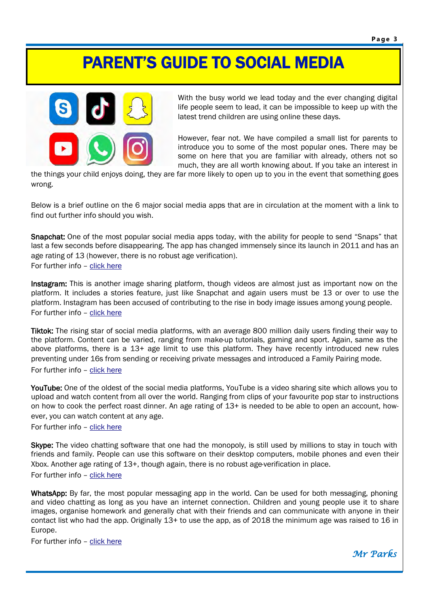# PARENT'S GUIDE TO SOCIAL MEDIA



With the busy world we lead today and the ever changing digital life people seem to lead, it can be impossible to keep up with the latest trend children are using online these days.

However, fear not. We have compiled a small list for parents to introduce you to some of the most popular ones. There may be some on here that you are familiar with already, others not so much, they are all worth knowing about. If you take an interest in

the things your child enjoys doing, they are far more likely to open up to you in the event that something goes wrong.

Below is a brief outline on the 6 major social media apps that are in circulation at the moment with a link to find out further info should you wish.

Snapchat: One of the most popular social media apps today, with the ability for people to send "Snaps" that last a few seconds before disappearing. The app has changed immensely since its launch in 2011 and has an age rating of 13 (however, there is no robust age verification). For further info – [click here](https://www.net-aware.org.uk/networks/snapchat/)

Instagram: This is another image sharing platform, though videos are almost just as important now on the platform. It includes a stories feature, just like Snapchat and again users must be 13 or over to use the platform. Instagram has been accused of contributing to the rise in body image issues among young people. For further info – [click here](https://www.net-aware.org.uk/networks/instagram/)

Tiktok: The rising star of social media platforms, with an average 800 million daily users finding their way to the platform. Content can be varied, ranging from make-up tutorials, gaming and sport. Again, same as the above platforms, there is a 13+ age limit to use this platform. They have recently introduced new rules preventing under 16s from sending or receiving private messages and introduced a Family Pairing mode. For further info – [click here](https://www.net-aware.org.uk/networks/tiktok/)

YouTube: One of the oldest of the social media platforms, YouTube is a video sharing site which allows you to upload and watch content from all over the world. Ranging from clips of your favourite pop star to instructions on how to cook the perfect roast dinner. An age rating of 13+ is needed to be able to open an account, however, you can watch content at any age.

For further info – [click here](https://www.net-aware.org.uk/networks/youtube/)

Skype: The video chatting software that one had the monopoly, is still used by millions to stay in touch with friends and family. People can use this software on their desktop computers, mobile phones and even their Xbox. Another age rating of 13+, though again, there is no robust age-verification in place. For further info – [click here](https://www.net-aware.org.uk/networks/skype/)

WhatsApp: By far, the most popular messaging app in the world. Can be used for both messaging, phoning and video chatting as long as you have an internet connection. Children and young people use it to share images, organise homework and generally chat with their friends and can communicate with anyone in their contact list who had the app. Originally 13+ to use the app, as of 2018 the minimum age was raised to 16 in Europe.

For further info – [click here](https://www.net-aware.org.uk/networks/whatsapp/)

*Mr Parks*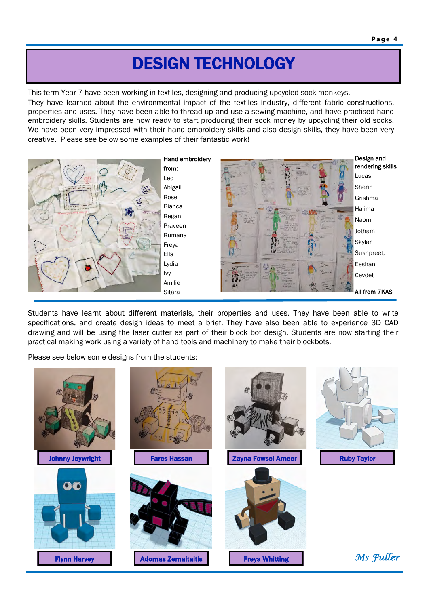#### **Page 4 P a g e 4**

## DESIGN TECHNOLOGY

This term Year 7 have been working in textiles, designing and producing upcycled sock monkeys. They have learned about the environmental impact of the textiles industry, different fabric constructions, properties and uses. They have been able to thread up and use a sewing machine, and have practised hand embroidery skills. Students are now ready to start producing their sock money by upcycling their old socks. We have been very impressed with their hand embroidery skills and also design skills, they have been very creative. Please see below some examples of their fantastic work!



Students have learnt about different materials, their properties and uses. They have been able to write specifications, and create design ideas to meet a brief. They have also been able to experience 3D CAD drawing and will be using the laser cutter as part of their block bot design. Students are now starting their practical making work using a variety of hand tools and machinery to make their blockbots.

Please see below some designs from the students:

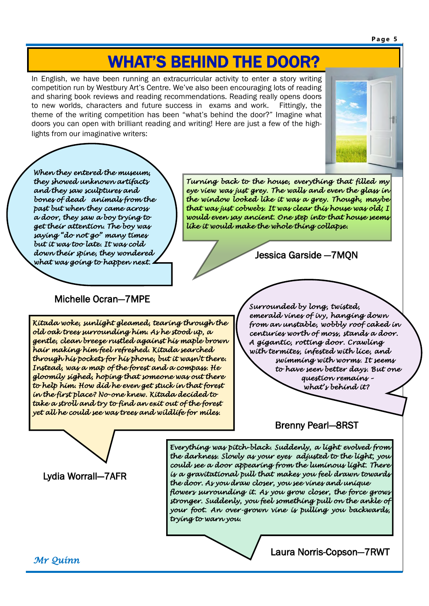**Page 5 P a g e 5**

# WHAT'S BEHIND THE DOOR?

In English, we have been running an extracurricular activity to enter a story writing competition run by Westbury Art's Centre. We've also been encouraging lots of reading and sharing book reviews and reading recommendations. Reading really opens doors to new worlds, characters and future success in exams and work. Fittingly, the theme of the writing competition has been "what's behind the door?" Imagine what doors you can open with brilliant reading and writing! Here are just a few of the highlights from our imaginative writers:



*When they entered the museum, they showed unknown artifacts and they saw sculptures and bones of dead animals from the past but when they came across a door, they saw a boy trying to get their attention. The boy was saying "do not go" many times but it was too late. It was cold down their spine, they wondered what was going to happen next.* 

*Turning back to the house, everything that filled my eye view was just grey. The walls and even the glass in the window looked like it was a grey. Though, maybe that was just cobwebs. It was clear this house was old; I would even say ancient. One step into that house seems like it would make the whole thing collapse.* 

### Jessica Garside —7MQN

### Michelle Ocran—7MPE

*Kitada woke, sunlight gleamed, tearing through the old oak trees surrounding him. As he stood up, a gentle, clean breeze rustled against his maple brown hair making him feel refreshed. Kitada searched through his pockets for his phone, but it wasn't there. Instead, was a map of the forest and a compass. He gloomily sighed, hoping that someone was out there to help him. How did he even get stuck in that forest in the first place? No-one knew. Kitada decided to take a stroll and try to find an exit out of the forest yet all he could see was trees and wildlife for miles.* 

*Surrounded by long, twisted, emerald vines of ivy, hanging down from an unstable, wobbly roof caked in centuries worth of moss, stands a door. A gigantic, rotting door. Crawling with termites, infested with lice, and swimming with worms. It seems to have seen better days. But one question remains – what's behind it?* 

### Brenny Pearl—8RST

Lydia Worrall—7AFR

*Everything was pitch-black. Suddenly, a light evolved from the darkness. Slowly as your eyes adjusted to the light, you could see a door appearing from the luminous light. There is a gravitational pull that makes you feel drawn towards the door. As you draw closer, you see vines and unique flowers surrounding it. As you grow closer, the force grows stronger. Suddenly, you feel something pull on the ankle of your foot. An over-grown vine is pulling you backwards, trying to warn you.* 

*Mr Quinn*

Laura Norris-Copson—7RWT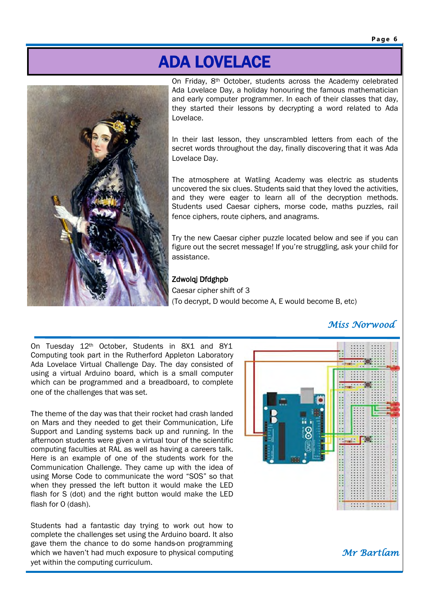# ADA LOVELACE



On Friday, 8th October, students across the Academy celebrated Ada Lovelace Day, a holiday honouring the famous mathematician and early computer programmer. In each of their classes that day, they started their lessons by decrypting a word related to Ada Lovelace.

In their last lesson, they unscrambled letters from each of the secret words throughout the day, finally discovering that it was Ada Lovelace Day.

The atmosphere at Watling Academy was electric as students uncovered the six clues. Students said that they loved the activities, and they were eager to learn all of the decryption methods. Students used Caesar ciphers, morse code, maths puzzles, rail fence ciphers, route ciphers, and anagrams.

Try the new Caesar cipher puzzle located below and see if you can figure out the secret message! If you're struggling, ask your child for assistance.

#### Zdwolqj Dfdghpb

Caesar cipher shift of 3 (To decrypt, D would become A, E would become B, etc)

### *Miss Norwood*

On Tuesday 12<sup>th</sup> October, Students in 8X1 and 8Y1 Computing took part in the Rutherford Appleton Laboratory Ada Lovelace Virtual Challenge Day. The day consisted of using a virtual Arduino board, which is a small computer which can be programmed and a breadboard, to complete one of the challenges that was set.

The theme of the day was that their rocket had crash landed on Mars and they needed to get their Communication, Life Support and Landing systems back up and running. In the afternoon students were given a virtual tour of the scientific computing faculties at RAL as well as having a careers talk. Here is an example of one of the students work for the Communication Challenge. They came up with the idea of using Morse Code to communicate the word "SOS" so that when they pressed the left button it would make the LED flash for S (dot) and the right button would make the LED flash for O (dash).

Students had a fantastic day trying to work out how to complete the challenges set using the Arduino board. It also gave them the chance to do some hands-on programming which we haven't had much exposure to physical computing yet within the computing curriculum.

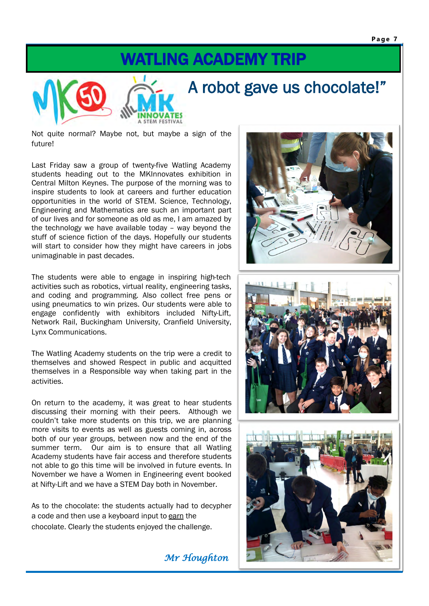## WATLING ACADEMY TRIP



Not quite normal? Maybe not, but maybe a sign of the future!

Last Friday saw a group of twenty-five Watling Academy students heading out to the MKInnovates exhibition in Central Milton Keynes. The purpose of the morning was to inspire students to look at careers and further education opportunities in the world of STEM. Science, Technology, Engineering and Mathematics are such an important part of our lives and for someone as old as me, I am amazed by the technology we have available today – way beyond the stuff of science fiction of the days. Hopefully our students will start to consider how they might have careers in jobs unimaginable in past decades.

The students were able to engage in inspiring high-tech activities such as robotics, virtual reality, engineering tasks, and coding and programming. Also collect free pens or using pneumatics to win prizes. Our students were able to engage confidently with exhibitors included Nifty-Lift, Network Rail, Buckingham University, Cranfield University, Lynx Communications.

The Watling Academy students on the trip were a credit to themselves and showed Respect in public and acquitted themselves in a Responsible way when taking part in the activities.

On return to the academy, it was great to hear students discussing their morning with their peers. Although we couldn't take more students on this trip, we are planning more visits to events as well as guests coming in, across both of our year groups, between now and the end of the summer term. Our aim is to ensure that all Watling Academy students have fair access and therefore students not able to go this time will be involved in future events. In November we have a Women in Engineering event booked at Nifty-Lift and we have a STEM Day both in November.

As to the chocolate: the students actually had to decypher a code and then use a keyboard input to earn the chocolate. Clearly the students enjoyed the challenge.

 *Mr Houghton*





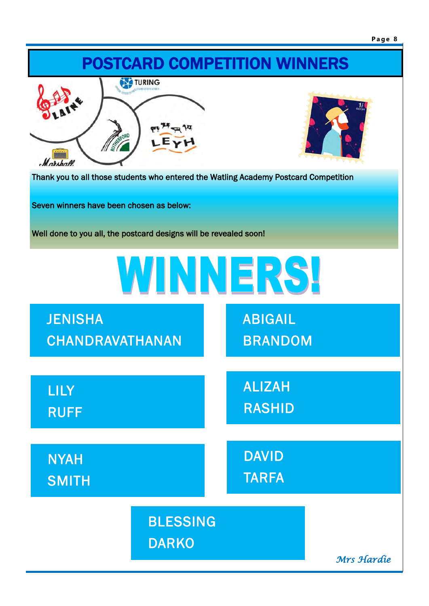

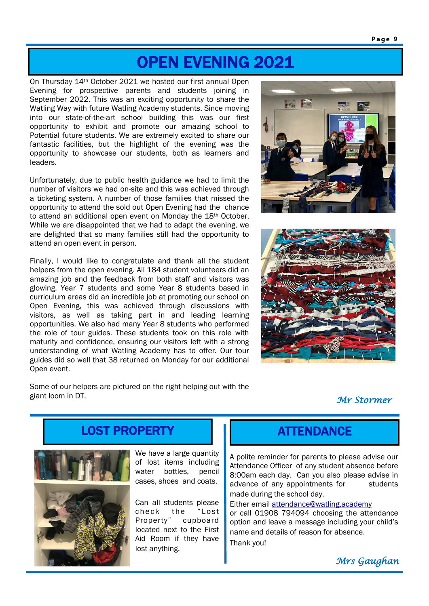## OPEN EVENING 2021

On Thursday 14th October 2021 we hosted our first annual Open Evening for prospective parents and students joining in September 2022. This was an exciting opportunity to share the Watling Way with future Watling Academy students. Since moving into our state-of-the-art school building this was our first opportunity to exhibit and promote our amazing school to Potential future students. We are extremely excited to share our fantastic facilities, but the highlight of the evening was the opportunity to showcase our students, both as learners and leaders.

Unfortunately, due to public health guidance we had to limit the number of visitors we had on-site and this was achieved through a ticketing system. A number of those families that missed the opportunity to attend the sold out Open Evening had the chance to attend an additional open event on Monday the 18<sup>th</sup> October. While we are disappointed that we had to adapt the evening, we are delighted that so many families still had the opportunity to attend an open event in person.

Finally, I would like to congratulate and thank all the student helpers from the open evening. All 184 student volunteers did an amazing job and the feedback from both staff and visitors was glowing. Year 7 students and some Year 8 students based in curriculum areas did an incredible job at promoting our school on Open Evening, this was achieved through discussions with visitors, as well as taking part in and leading learning opportunities. We also had many Year 8 students who performed the role of tour guides. These students took on this role with maturity and confidence, ensuring our visitors left with a strong understanding of what Watling Academy has to offer. Our tour guides did so well that 38 returned on Monday for our additional Open event.





Some of our helpers are pictured on the right helping out with the giant loom in DT.

 *Mr Stormer*

# LOST PROPERTY



We have a large quantity of lost items including water bottles, pencil cases, shoes and coats.

Can all students please check the "Lost Property" cupboard located next to the First Aid Room if they have lost anything.

### **ATTENDANCE**

A polite reminder for parents to please advise our Attendance Officer of any student absence before 8:00am each day. Can you also please advise in advance of any appointments for students made during the school day.

Either email [attendance@watling.academy](mailto:%20attendance@watling.academy) or call 01908 794094 choosing the attendance option and leave a message including your child's name and details of reason for absence. Thank you!